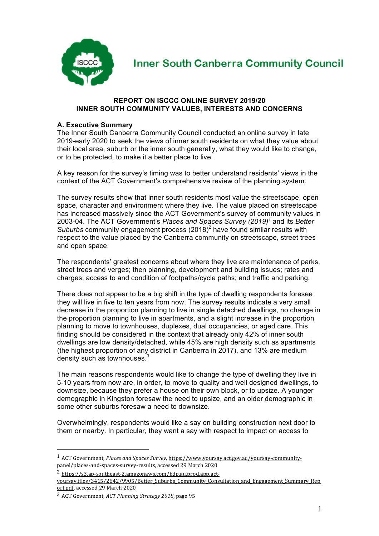

# **Inner South Canberra Community Council**

# **REPORT ON ISCCC ONLINE SURVEY 2019/20 INNER SOUTH COMMUNITY VALUES, INTERESTS AND CONCERNS**

# **A. Executive Summary**

The Inner South Canberra Community Council conducted an online survey in late 2019-early 2020 to seek the views of inner south residents on what they value about their local area, suburb or the inner south generally, what they would like to change, or to be protected, to make it a better place to live.

A key reason for the survey's timing was to better understand residents' views in the context of the ACT Government's comprehensive review of the planning system.

The survey results show that inner south residents most value the streetscape, open space, character and environment where they live. The value placed on streetscape has increased massively since the ACT Government's survey of community values in 2003-04. The ACT Government's *Places and Spaces Survey (2019)<sup>1</sup>* and its *Better Suburbs* community engagement process (2018)<sup>2</sup> have found similar results with respect to the value placed by the Canberra community on streetscape, street trees and open space.

The respondents' greatest concerns about where they live are maintenance of parks, street trees and verges; then planning, development and building issues; rates and charges; access to and condition of footpaths/cycle paths; and traffic and parking.

There does not appear to be a big shift in the type of dwelling respondents foresee they will live in five to ten years from now. The survey results indicate a very small decrease in the proportion planning to live in single detached dwellings, no change in the proportion planning to live in apartments, and a slight increase in the proportion planning to move to townhouses, duplexes, dual occupancies, or aged care. This finding should be considered in the context that already only 42% of inner south dwellings are low density/detached, while 45% are high density such as apartments (the highest proportion of any district in Canberra in 2017), and 13% are medium density such as townhouses.<sup>3</sup>

The main reasons respondents would like to change the type of dwelling they live in 5-10 years from now are, in order, to move to quality and well designed dwellings, to downsize, because they prefer a house on their own block, or to upsize. A younger demographic in Kingston foresaw the need to upsize, and an older demographic in some other suburbs foresaw a need to downsize.

Overwhelmingly, respondents would like a say on building construction next door to them or nearby. In particular, they want a say with respect to impact on access to

<sup>&</sup>lt;sup>1</sup> ACT Government, *Places and Spaces Survey*, https://www.yoursay.act.gov.au/yoursay-communitypanel/places-and-spaces-survey-results, accessed 29 March 2020

<sup>2</sup> https://s3.ap-southeast-2.amazonaws.com/hdp.au.prod.app.act-

yoursay.files/3415/2642/9905/Better\_Suburbs\_Community\_Consultation\_and\_Engagement\_Summary\_Rep ort.pdf, accessed 29 March 2020

<sup>&</sup>lt;sup>3</sup> ACT Government, *ACT Planning Strategy 2018*, page 95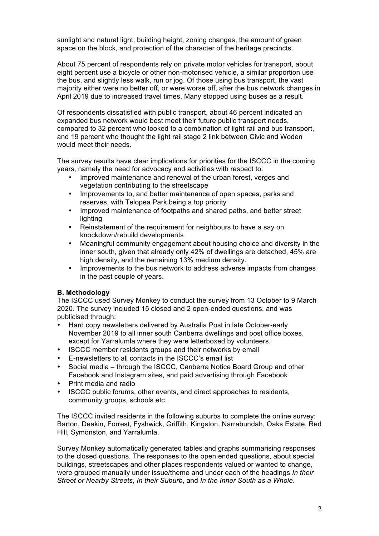sunlight and natural light, building height, zoning changes, the amount of green space on the block, and protection of the character of the heritage precincts.

About 75 percent of respondents rely on private motor vehicles for transport, about eight percent use a bicycle or other non-motorised vehicle, a similar proportion use the bus, and slightly less walk, run or jog. Of those using bus transport, the vast majority either were no better off, or were worse off, after the bus network changes in April 2019 due to increased travel times. Many stopped using buses as a result.

Of respondents dissatisfied with public transport, about 46 percent indicated an expanded bus network would best meet their future public transport needs, compared to 32 percent who looked to a combination of light rail and bus transport, and 19 percent who thought the light rail stage 2 link between Civic and Woden would meet their needs.

The survey results have clear implications for priorities for the ISCCC in the coming years, namely the need for advocacy and activities with respect to:

- Improved maintenance and renewal of the urban forest, verges and vegetation contributing to the streetscape
- Improvements to, and better maintenance of open spaces, parks and reserves, with Telopea Park being a top priority
- Improved maintenance of footpaths and shared paths, and better street lighting
- Reinstatement of the requirement for neighbours to have a say on knockdown/rebuild developments
- Meaningful community engagement about housing choice and diversity in the inner south, given that already only 42% of dwellings are detached, 45% are high density, and the remaining 13% medium density.
- Improvements to the bus network to address adverse impacts from changes in the past couple of years.

# **B. Methodology**

The ISCCC used Survey Monkey to conduct the survey from 13 October to 9 March 2020. The survey included 15 closed and 2 open-ended questions, and was publicised through:

- Hard copy newsletters delivered by Australia Post in late October-early November 2019 to all inner south Canberra dwellings and post office boxes, except for Yarralumla where they were letterboxed by volunteers.
- ISCCC member residents groups and their networks by email
- E-newsletters to all contacts in the ISCCC's email list
- Social media through the ISCCC, Canberra Notice Board Group and other Facebook and Instagram sites, and paid advertising through Facebook
- Print media and radio
- ISCCC public forums, other events, and direct approaches to residents, community groups, schools etc.

The ISCCC invited residents in the following suburbs to complete the online survey: Barton, Deakin, Forrest, Fyshwick, Griffith, Kingston, Narrabundah, Oaks Estate, Red Hill, Symonston, and Yarralumla.

Survey Monkey automatically generated tables and graphs summarising responses to the closed questions. The responses to the open ended questions, about special buildings, streetscapes and other places respondents valued or wanted to change, were grouped manually under issue/theme and under each of the headings *In their Street or Nearby Streets*, *In their Suburb*, and *In the Inner South as a Whole*.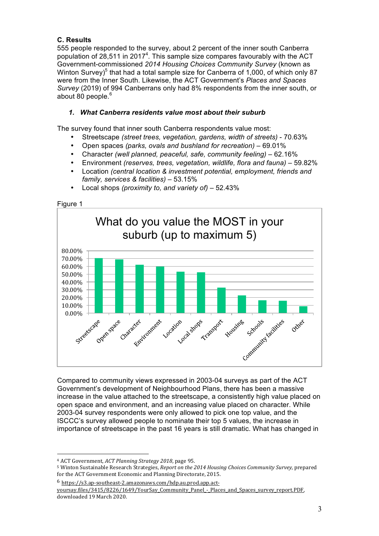# **C. Results**

555 people responded to the survey, about 2 percent of the inner south Canberra population of 28,511 in 2017<sup>4</sup>. This sample size compares favourably with the ACT Government-commissioned *2014 Housing Choices Community Survey* (known as Winton Survey)<sup>5</sup> that had a total sample size for Canberra of 1,000, of which only 87 were from the Inner South. Likewise, the ACT Government's *Places and Spaces Survey* (2019) of 994 Canberrans only had 8% respondents from the inner south, or about 80 people.<sup>6</sup>

# *1. What Canberra residents value most about their suburb*

The survey found that inner south Canberra respondents value most:

- Streetscape *(street trees, vegetation, gardens, width of streets)* 70.63%
- Open spaces *(parks, ovals and bushland for recreation)* 69.01%
- Character *(well planned, peaceful, safe, community feeling)* 62.16%
- Environment *(reserves, trees, vegetation, wildlife, flora and fauna)* 59.82%
- Location *(central location & investment potential, employment, friends and family, services & facilities)* – 53.15%



• Local shops *(proximity to, and variety of)* – 52.43%

Compared to community views expressed in 2003-04 surveys as part of the ACT Government's development of Neighbourhood Plans, there has been a massive increase in the value attached to the streetscape, a consistently high value placed on open space and environment, and an increasing value placed on character. While 2003-04 survey respondents were only allowed to pick one top value, and the ISCCC's survey allowed people to nominate their top 5 values, the increase in importance of streetscape in the past 16 years is still dramatic. What has changed in

<sup>&</sup>lt;sup>4</sup> ACT Government, *ACT Planning Strategy 2018*, page 95.

<sup>5</sup> Winton Sustainable Research Strategies, *Report on the 2014 Housing Choices Community Survey,* prepared for the ACT Government Economic and Planning Directorate, 2015.

<sup>6</sup> https://s3.ap-southeast-2.amazonaws.com/hdp.au.prod.app.actyoursay.files/3415/8226/1649/YourSay\_Community\_Panel\_-\_Places\_and\_Spaces\_survey\_report.PDF, downloaded 19 March 2020.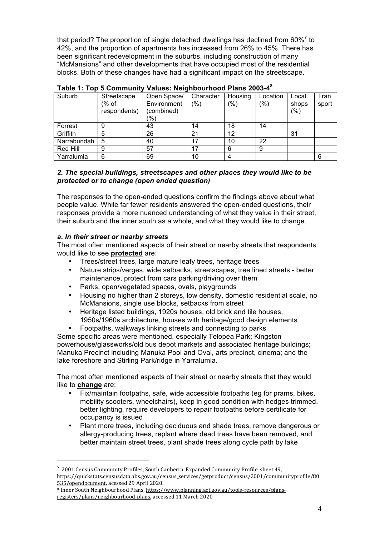that period? The proportion of single detached dwellings has declined from  $60\%$ <sup>7</sup> to 42%, and the proportion of apartments has increased from 26% to 45%. There has been significant redevelopment in the suburbs, including construction of many "McMansions" and other developments that have occupied most of the residential blocks. Both of these changes have had a significant impact on the streetscape.

| Suburb      | Streetscape<br>(% of<br>respondents) | Open Space/<br>Environment<br>(combined)<br>(%) | Character<br>$(\% )$ | Housing<br>(% ) | Location<br>$(\% )$ | Local<br>shops<br>(% ) | Tran<br>sport |
|-------------|--------------------------------------|-------------------------------------------------|----------------------|-----------------|---------------------|------------------------|---------------|
| Forrest     | 9                                    | 43                                              | 14                   | 18              | 14                  |                        |               |
| Griffith    | 5                                    | 26                                              | 21                   | 12              |                     | 31                     |               |
| Narrabundah | 5                                    | 40                                              | 17                   | 10              | 22                  |                        |               |
| Red Hill    | 9                                    | 57                                              | 17                   | 6               | 9                   |                        |               |
| Yarralumla  | 6                                    | 69                                              | 10                   | 4               |                     |                        | 6             |

| Table 1: Top 5 Community Values: Neighbourhood Plans 2003-48 |
|--------------------------------------------------------------|
|--------------------------------------------------------------|

### *2. The special buildings, streetscapes and other places they would like to be protected or to change (open ended question)*

The responses to the open-ended questions confirm the findings above about what people value. While far fewer residents answered the open-ended questions, their responses provide a more nuanced understanding of what they value in their street, their suburb and the inner south as a whole, and what they would like to change.

# *a. In their street or nearby streets*

 

The most often mentioned aspects of their street or nearby streets that respondents would like to see **protected** are:

- Trees/street trees, large mature leafy trees, heritage trees
- Nature strips/verges, wide setbacks, streetscapes, tree lined streets better maintenance, protect from cars parking/driving over them
- Parks, open/vegetated spaces, ovals, playgrounds
- Housing no higher than 2 storeys, low density, domestic residential scale, no McMansions, single use blocks, setbacks from street
- Heritage listed buildings, 1920s houses, old brick and tile houses, 1950s/1960s architecture, houses with heritage/good design elements
- Footpaths, walkways linking streets and connecting to parks

Some specific areas were mentioned, especially Telopea Park; Kingston powerhouse/glassworks/old bus depot markets and associated heritage buildings; Manuka Precinct including Manuka Pool and Oval, arts precinct, cinema; and the lake foreshore and Stirling Park/ridge in Yarralumla.

The most often mentioned aspects of their street or nearby streets that they would like to **change** are:

- Fix/maintain footpaths, safe, wide accessible footpaths (eg for prams, bikes, mobility scooters, wheelchairs), keep in good condition with hedges trimmed, better lighting, require developers to repair footpaths before certificate for occupancy is issued
- Plant more trees, including deciduous and shade trees, remove dangerous or allergy-producing trees, replant where dead trees have been removed, and better maintain street trees, plant shade trees along cycle path by lake

 $7$  2001 Census Community Profiles, South Canberra, Expanded Community Profile, sheet 49, https://quickstats.censusdata.abs.gov.au/census\_services/getproduct/census/2001/communityprofile/80 535?opendocument, acessed 29 April 2020.

<sup>&</sup>lt;sup>8</sup> Inner South Neighbourhood Plans, https://www.planning.act.gov.au/tools-resources/plansregisters/plans/neighbourhood-plans, accessed 11 March 2020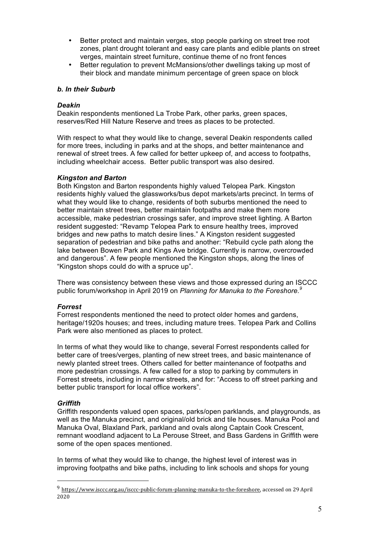- Better protect and maintain verges, stop people parking on street tree root zones, plant drought tolerant and easy care plants and edible plants on street verges, maintain street furniture, continue theme of no front fences
- Better regulation to prevent McMansions/other dwellings taking up most of their block and mandate minimum percentage of green space on block

#### *b. In their Suburb*

#### *Deakin*

Deakin respondents mentioned La Trobe Park, other parks, green spaces, reserves/Red Hill Nature Reserve and trees as places to be protected.

With respect to what they would like to change, several Deakin respondents called for more trees, including in parks and at the shops, and better maintenance and renewal of street trees. A few called for better upkeep of, and access to footpaths, including wheelchair access. Better public transport was also desired.

#### *Kingston and Barton*

Both Kingston and Barton respondents highly valued Telopea Park. Kingston residents highly valued the glassworks/bus depot markets/arts precinct. In terms of what they would like to change, residents of both suburbs mentioned the need to better maintain street trees, better maintain footpaths and make them more accessible, make pedestrian crossings safer, and improve street lighting. A Barton resident suggested: "Revamp Telopea Park to ensure healthy trees, improved bridges and new paths to match desire lines." A Kingston resident suggested separation of pedestrian and bike paths and another: "Rebuild cycle path along the lake between Bowen Park and Kings Ave bridge. Currently is narrow, overcrowded and dangerous". A few people mentioned the Kingston shops, along the lines of "Kingston shops could do with a spruce up".

There was consistency between these views and those expressed during an ISCCC public forum/workshop in April 2019 on *Planning for Manuka to the Foreshore. 9*

#### *Forrest*

Forrest respondents mentioned the need to protect older homes and gardens, heritage/1920s houses; and trees, including mature trees. Telopea Park and Collins Park were also mentioned as places to protect.

In terms of what they would like to change, several Forrest respondents called for better care of trees/verges, planting of new street trees, and basic maintenance of newly planted street trees. Others called for better maintenance of footpaths and more pedestrian crossings. A few called for a stop to parking by commuters in Forrest streets, including in narrow streets, and for: "Access to off street parking and better public transport for local office workers".

# *Griffith*

 

Griffith respondents valued open spaces, parks/open parklands, and playgrounds, as well as the Manuka precinct, and original/old brick and tile houses. Manuka Pool and Manuka Oval, Blaxland Park, parkland and ovals along Captain Cook Crescent, remnant woodland adjacent to La Perouse Street, and Bass Gardens in Griffith were some of the open spaces mentioned.

In terms of what they would like to change, the highest level of interest was in improving footpaths and bike paths, including to link schools and shops for young

<sup>&</sup>lt;sup>9</sup> https://www.isccc.org.au/isccc-public-forum-planning-manuka-to-the-foreshore, accessed on 29 April 2020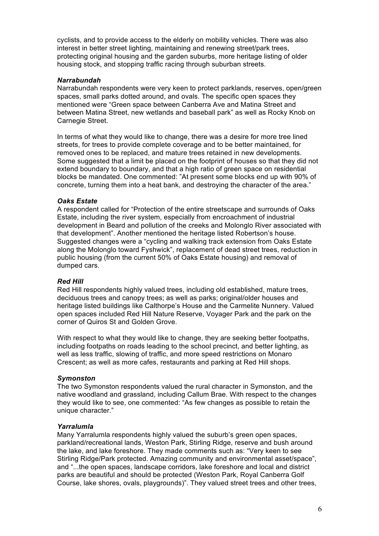cyclists, and to provide access to the elderly on mobility vehicles. There was also interest in better street lighting, maintaining and renewing street/park trees, protecting original housing and the garden suburbs, more heritage listing of older housing stock, and stopping traffic racing through suburban streets.

#### *Narrabundah*

Narrabundah respondents were very keen to protect parklands, reserves, open/green spaces, small parks dotted around, and ovals. The specific open spaces they mentioned were "Green space between Canberra Ave and Matina Street and between Matina Street, new wetlands and baseball park" as well as Rocky Knob on Carnegie Street.

In terms of what they would like to change, there was a desire for more tree lined streets, for trees to provide complete coverage and to be better maintained, for removed ones to be replaced, and mature trees retained in new developments. Some suggested that a limit be placed on the footprint of houses so that they did not extend boundary to boundary, and that a high ratio of green space on residential blocks be mandated. One commented: "At present some blocks end up with 90% of concrete, turning them into a heat bank, and destroying the character of the area."

# *Oaks Estate*

A respondent called for "Protection of the entire streetscape and surrounds of Oaks Estate, including the river system, especially from encroachment of industrial development in Beard and pollution of the creeks and Molonglo River associated with that development". Another mentioned the heritage listed Robertson's house. Suggested changes were a "cycling and walking track extension from Oaks Estate along the Molonglo toward Fyshwick", replacement of dead street trees, reduction in public housing (from the current 50% of Oaks Estate housing) and removal of dumped cars.

# *Red Hill*

Red Hill respondents highly valued trees, including old established, mature trees, deciduous trees and canopy trees; as well as parks; original/older houses and heritage listed buildings like Calthorpe's House and the Carmelite Nunnery. Valued open spaces included Red Hill Nature Reserve, Voyager Park and the park on the corner of Quiros St and Golden Grove.

With respect to what they would like to change, they are seeking better footpaths, including footpaths on roads leading to the school precinct, and better lighting, as well as less traffic, slowing of traffic, and more speed restrictions on Monaro Crescent; as well as more cafes, restaurants and parking at Red Hill shops.

# *Symonston*

The two Symonston respondents valued the rural character in Symonston, and the native woodland and grassland, including Callum Brae. With respect to the changes they would like to see, one commented: "As few changes as possible to retain the unique character."

# *Yarralumla*

Many Yarralumla respondents highly valued the suburb's green open spaces, parkland/recreational lands, Weston Park, Stirling Ridge, reserve and bush around the lake, and lake foreshore. They made comments such as: "Very keen to see Stirling Ridge/Park protected. Amazing community and environmental asset/space", and "...the open spaces, landscape corridors, lake foreshore and local and district parks are beautiful and should be protected (Weston Park, Royal Canberra Golf Course, lake shores, ovals, playgrounds)". They valued street trees and other trees,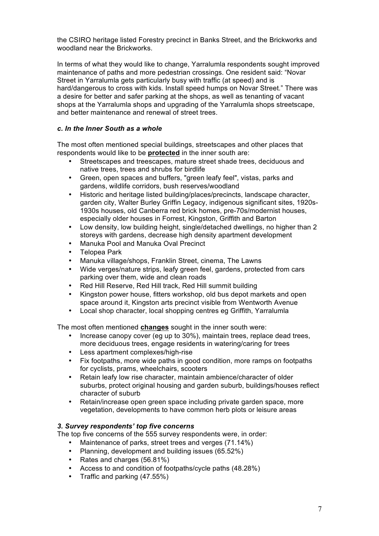the CSIRO heritage listed Forestry precinct in Banks Street, and the Brickworks and woodland near the Brickworks.

In terms of what they would like to change, Yarralumla respondents sought improved maintenance of paths and more pedestrian crossings. One resident said: "Novar Street in Yarralumla gets particularly busy with traffic (at speed) and is hard/dangerous to cross with kids. Install speed humps on Novar Street." There was a desire for better and safer parking at the shops, as well as tenanting of vacant shops at the Yarralumla shops and upgrading of the Yarralumla shops streetscape, and better maintenance and renewal of street trees.

# *c. In the Inner South as a whole*

The most often mentioned special buildings, streetscapes and other places that respondents would like to be **protected** in the inner south are:

- Streetscapes and treescapes, mature street shade trees, deciduous and native trees, trees and shrubs for birdlife
- Green, open spaces and buffers, "green leafy feel", vistas, parks and gardens, wildlife corridors, bush reserves/woodland
- Historic and heritage listed building/places/precincts, landscape character, garden city, Walter Burley Griffin Legacy, indigenous significant sites, 1920s-1930s houses, old Canberra red brick homes, pre-70s/modernist houses, especially older houses in Forrest, Kingston, Griffith and Barton
- Low density, low building height, single/detached dwellings, no higher than 2 storeys with gardens, decrease high density apartment development
- Manuka Pool and Manuka Oval Precinct
- Telopea Park
- Manuka village/shops, Franklin Street, cinema, The Lawns
- Wide verges/nature strips, leafy green feel, gardens, protected from cars parking over them, wide and clean roads
- Red Hill Reserve, Red Hill track, Red Hill summit building
- Kingston power house, fitters workshop, old bus depot markets and open space around it, Kingston arts precinct visible from Wentworth Avenue
- Local shop character, local shopping centres eg Griffith, Yarralumla

The most often mentioned **changes** sought in the inner south were:

- Increase canopy cover (eg up to 30%), maintain trees, replace dead trees, more deciduous trees, engage residents in watering/caring for trees
- Less apartment complexes/high-rise
- Fix footpaths, more wide paths in good condition, more ramps on footpaths for cyclists, prams, wheelchairs, scooters
- Retain leafy low rise character, maintain ambience/character of older suburbs, protect original housing and garden suburb, buildings/houses reflect character of suburb
- Retain/increase open green space including private garden space, more vegetation, developments to have common herb plots or leisure areas

# *3. Survey respondents' top five concerns*

The top five concerns of the 555 survey respondents were, in order:

- Maintenance of parks, street trees and verges (71.14%)
- Planning, development and building issues (65.52%)
- Rates and charges (56.81%)
- Access to and condition of footpaths/cycle paths (48.28%)
- Traffic and parking (47.55%)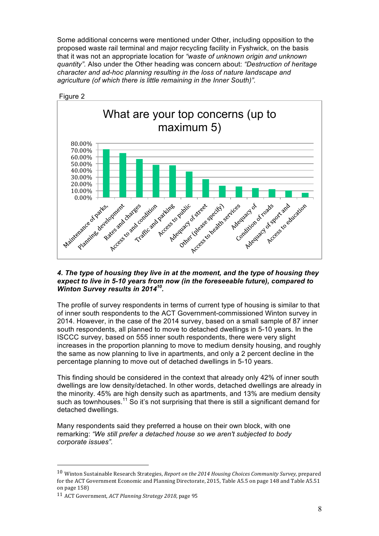Some additional concerns were mentioned under Other, including opposition to the proposed waste rail terminal and major recycling facility in Fyshwick, on the basis that it was not an appropriate location for *"waste of unknown origin and unknown quantity".* Also under the Other heading was concern about: *"Destruction of heritage character and ad-hoc planning resulting in the loss of nature landscape and agriculture (of which there is little remaining in the Inner South)".*



#### *4. The type of housing they live in at the moment, and the type of housing they expect to live in 5-10 years from now (in the foreseeable future), compared to Winton Survey results in 201410.*

The profile of survey respondents in terms of current type of housing is similar to that of inner south respondents to the ACT Government-commissioned Winton survey in 2014. However, in the case of the 2014 survey, based on a small sample of 87 inner south respondents, all planned to move to detached dwellings in 5-10 years. In the ISCCC survey, based on 555 inner south respondents, there were very slight increases in the proportion planning to move to medium density housing, and roughly the same as now planning to live in apartments, and only a 2 percent decline in the percentage planning to move out of detached dwellings in 5-10 years.

This finding should be considered in the context that already only 42% of inner south dwellings are low density/detached. In other words, detached dwellings are already in the minority. 45% are high density such as apartments, and 13% are medium density such as townhouses.<sup>11</sup> So it's not surprising that there is still a significant demand for detached dwellings.

Many respondents said they preferred a house on their own block, with one remarking: *"We still prefer a detached house so we aren't subjected to body corporate issues".*

<sup>&</sup>lt;sup>10</sup> Winton Sustainable Research Strategies, *Report on the 2014 Housing Choices Community Survey*, prepared for the ACT Government Economic and Planning Directorate, 2015, Table A5.5 on page 148 and Table A5.51 on page 158)

<sup>11</sup> ACT Government, *ACT Planning Strategy 2018*, page 95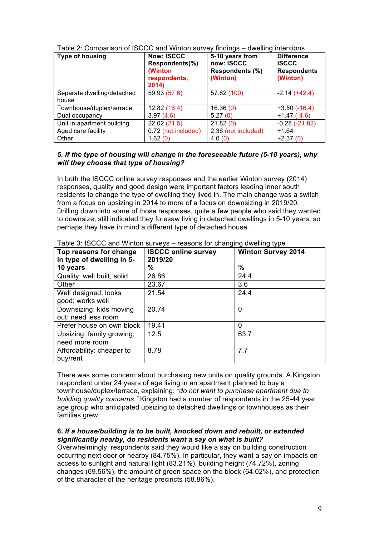| <b>Type of housing</b>              | <b>Now: ISCCC</b><br>Respondents(%)<br>(Winton<br>respondents,<br>2014) | 5-10 years from<br>now: ISCCC<br>Respondents (%)<br>(Winton) | <b>Difference</b><br><b>ISCCC</b><br><b>Respondents</b><br>(Winton) |
|-------------------------------------|-------------------------------------------------------------------------|--------------------------------------------------------------|---------------------------------------------------------------------|
| Separate dwelling/detached<br>house | 59.93 (57.6)                                                            | 57.82 (100)                                                  | $-2.14 (+42.4)$                                                     |
| Townhouse/duplex/terrace            | 12.82 (16.4)                                                            | 16.36(0)                                                     | $+3.50(-16.4)$                                                      |
| Dual occupancy                      | 3.97(4.6)                                                               | 5.27(0)                                                      | $+1.47(-4.6)$                                                       |
| Unit in apartment building          | 22.02 (21.5)                                                            | 21.82(0)                                                     | $-0.28(-21.82)$                                                     |
| Aged care facility                  | 0.72 (not included)                                                     | 2.36 (not included)                                          | $+1.64$                                                             |
| Other                               | 1.62(0)                                                                 | 4.0(0)                                                       | $+2.37(0)$                                                          |

Table 2: Comparison of ISCCC and Winton survey findings – dwelling intentions

# *5. If the type of housing will change in the foreseeable future (5-10 years), why will they choose that type of housing?*

In both the ISCCC online survey responses and the earlier Winton survey (2014) responses, quality and good design were important factors leading inner south residents to change the type of dwelling they lived in. The main change was a switch from a focus on upsizing in 2014 to more of a focus on downsizing in 2019/20. Drilling down into some of those responses, quite a few people who said they wanted to downsize, still indicated they foresaw living in detached dwellings in 5-10 years, so perhaps they have in mind a different type of detached house.

| Top reasons for change<br>in type of dwelling in 5- | <b>ISCCC online survey</b><br>2019/20 | <b>Winton Survey 2014</b> |
|-----------------------------------------------------|---------------------------------------|---------------------------|
| 10 years                                            | %                                     | %                         |
| Quality: well built, solid                          | 26.86                                 | 24.4                      |
| Other                                               | 23.67                                 | 3.6                       |
| Well designed: looks                                | 21.54                                 | 24.4                      |
| good; works well                                    |                                       |                           |
| Downsizing: kids moving                             | 20.74                                 | $\Omega$                  |
| out; need less room                                 |                                       |                           |
| Prefer house on own block                           | 19.41                                 | 0                         |
| Upsizing: family growing,                           | 12.5                                  | 63.7                      |
| need more room                                      |                                       |                           |
| Affordability: cheaper to                           | 8.78                                  | 7.7                       |
| buy/rent                                            |                                       |                           |

Table 3: ISCCC and Winton surveys – reasons for changing dwelling type

There was some concern about purchasing new units on quality grounds. A Kingston respondent under 24 years of age living in an apartment planned to buy a townhouse/duplex/terrace, explaining: *"do not want to purchase apartment due to building quality concerns."* Kingston had a number of respondents in the 25-44 year age group who anticipated upsizing to detached dwellings or townhouses as their families grew.

# **6.** *If a house/building is to be built, knocked down and rebuilt, or extended significantly nearby, do residents want a say on what is built?*

Overwhelmingly, respondents said they would like a say on building construction occurring next door or nearby (84.75%). In particular, they want a say on impacts on access to sunlight and natural light (83.21%), building height (74.72%), zoning changes (69.56%), the amount of green space on the block (64.02%), and protection of the character of the heritage precincts (58.86%).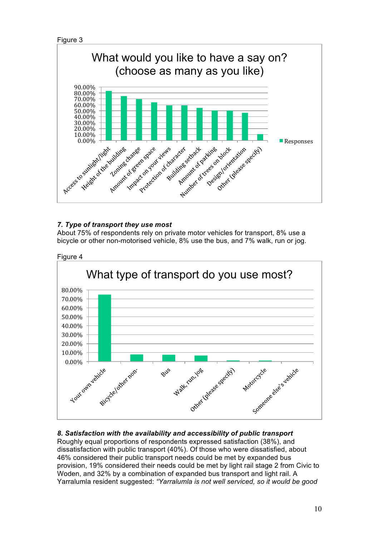```
Figure 3
```


# *7. Type of transport they use most*

About 75% of respondents rely on private motor vehicles for transport, 8% use a bicycle or other non-motorised vehicle, 8% use the bus, and 7% walk, run or jog.



# *8. Satisfaction with the availability and accessibility of public transport*

Roughly equal proportions of respondents expressed satisfaction (38%), and dissatisfaction with public transport (40%). Of those who were dissatisfied, about 46% considered their public transport needs could be met by expanded bus provision, 19% considered their needs could be met by light rail stage 2 from Civic to Woden, and 32% by a combination of expanded bus transport and light rail. A Yarralumla resident suggested: *"Yarralumla is not well serviced, so it would be good*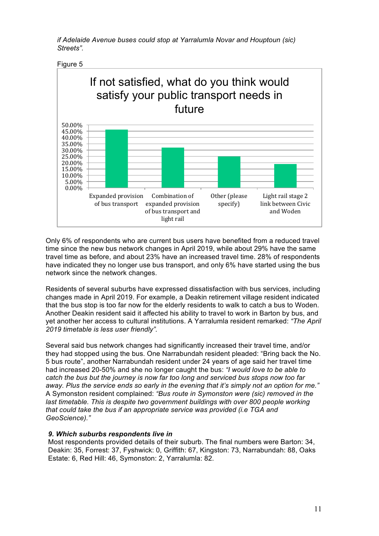*if Adelaide Avenue buses could stop at Yarralumla Novar and Houptoun (sic) Streets".*





Only 6% of respondents who are current bus users have benefited from a reduced travel time since the new bus network changes in April 2019, while about 29% have the same travel time as before, and about 23% have an increased travel time. 28% of respondents have indicated they no longer use bus transport, and only 6% have started using the bus network since the network changes.

Residents of several suburbs have expressed dissatisfaction with bus services, including changes made in April 2019. For example, a Deakin retirement village resident indicated that the bus stop is too far now for the elderly residents to walk to catch a bus to Woden. Another Deakin resident said it affected his ability to travel to work in Barton by bus, and yet another her access to cultural institutions. A Yarralumla resident remarked: *"The April 2019 timetable is less user friendly".*

Several said bus network changes had significantly increased their travel time, and/or they had stopped using the bus. One Narrabundah resident pleaded: "Bring back the No. 5 bus route", another Narrabundah resident under 24 years of age said her travel time had increased 20-50% and she no longer caught the bus: *"I would love to be able to catch the bus but the journey is now far too long and serviced bus stops now too far away. Plus the service ends so early in the evening that it's simply not an option for me."* A Symonston resident complained: *"Bus route in Symonston were (sic) removed in the*  last timetable. This is despite two government buildings with over 800 people working *that could take the bus if an appropriate service was provided (i.e TGA and GeoScience)."*

#### *9. Which suburbs respondents live in*

Most respondents provided details of their suburb. The final numbers were Barton: 34, Deakin: 35, Forrest: 37, Fyshwick: 0, Griffith: 67, Kingston: 73, Narrabundah: 88, Oaks Estate: 6, Red Hill: 46, Symonston: 2, Yarralumla: 82.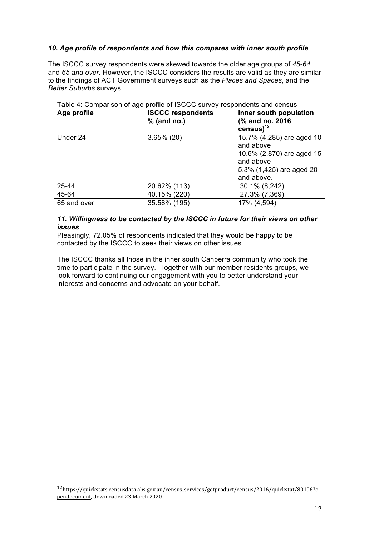# *10. Age profile of respondents and how this compares with inner south profile*

The ISCCC survey respondents were skewed towards the older age groups of *45-64* and *65 and over*. However, the ISCCC considers the results are valid as they are similar to the findings of ACT Government surveys such as the *Places and Spaces*, and the *Better Suburbs* surveys.

| Age profile | <b>ISCCC respondents</b> | Inner south population                                                                                                     |
|-------------|--------------------------|----------------------------------------------------------------------------------------------------------------------------|
|             | $%$ (and no.)            | (% and no. 2016)<br>census) $^{12}$                                                                                        |
| Under 24    | $3.65\%$ (20)            | 15.7% (4,285) are aged 10<br>and above<br>10.6% (2,870) are aged 15<br>and above<br>5.3% (1,425) are aged 20<br>and above. |
| 25-44       | 20.62% (113)             | 30.1% (8,242)                                                                                                              |
| 45-64       | 40.15% (220)             | 27.3% (7,369)                                                                                                              |
| 65 and over | 35.58% (195)             | 17% (4,594)                                                                                                                |

Table 4: Comparison of age profile of ISCCC survey respondents and census

# *11. Willingness to be contacted by the ISCCC in future for their views on other issues*

Pleasingly, 72.05% of respondents indicated that they would be happy to be contacted by the ISCCC to seek their views on other issues.

The ISCCC thanks all those in the inner south Canberra community who took the time to participate in the survey. Together with our member residents groups, we look forward to continuing our engagement with you to better understand your interests and concerns and advocate on your behalf.

<sup>12</sup>https://quickstats.censusdata.abs.gov.au/census\_services/getproduct/census/2016/quickstat/80106?o pendocument, downloaded 23 March 2020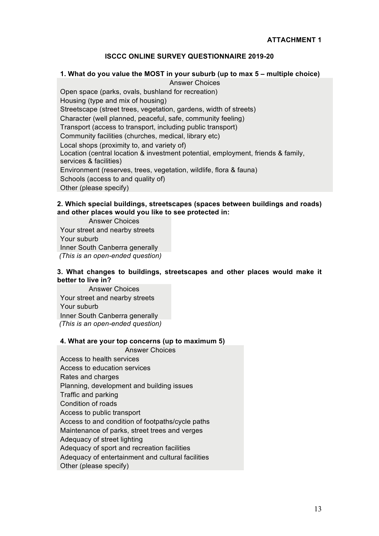# **ISCCC ONLINE SURVEY QUESTIONNAIRE 2019-20**

#### **1. What do you value the MOST in your suburb (up to max 5 – multiple choice)** Answer Choices

Open space (parks, ovals, bushland for recreation) Housing (type and mix of housing) Streetscape (street trees, vegetation, gardens, width of streets) Character (well planned, peaceful, safe, community feeling) Transport (access to transport, including public transport) Community facilities (churches, medical, library etc) Local shops (proximity to, and variety of) Location (central location & investment potential, employment, friends & family, services & facilities) Environment (reserves, trees, vegetation, wildlife, flora & fauna) Schools (access to and quality of) Other (please specify)

### **2. Which special buildings, streetscapes (spaces between buildings and roads) and other places would you like to see protected in:**

Answer Choices Your street and nearby streets Your suburb Inner South Canberra generally *(This is an open-ended question)*

# **3. What changes to buildings, streetscapes and other places would make it better to live in?**

Answer Choices Your street and nearby streets Your suburb Inner South Canberra generally *(This is an open-ended question)*

#### **4. What are your top concerns (up to maximum 5)**

Answer Choices Access to health services Access to education services Rates and charges Planning, development and building issues Traffic and parking Condition of roads Access to public transport Access to and condition of footpaths/cycle paths Maintenance of parks, street trees and verges Adequacy of street lighting Adequacy of sport and recreation facilities Adequacy of entertainment and cultural facilities Other (please specify)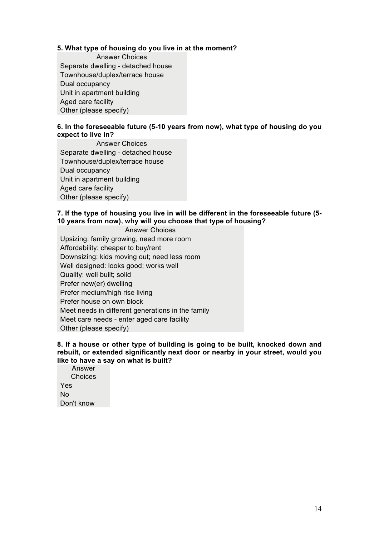# **5. What type of housing do you live in at the moment?**

Answer Choices Separate dwelling - detached house Townhouse/duplex/terrace house Dual occupancy Unit in apartment building Aged care facility Other (please specify)

# **6. In the foreseeable future (5-10 years from now), what type of housing do you expect to live in?**

Answer Choices Separate dwelling - detached house Townhouse/duplex/terrace house Dual occupancy Unit in apartment building Aged care facility Other (please specify)

# **7. If the type of housing you live in will be different in the foreseeable future (5- 10 years from now), why will you choose that type of housing?**

Answer Choices Upsizing: family growing, need more room Affordability: cheaper to buy/rent Downsizing: kids moving out; need less room Well designed: looks good; works well Quality: well built; solid Prefer new(er) dwelling Prefer medium/high rise living Prefer house on own block Meet needs in different generations in the family Meet care needs - enter aged care facility Other (please specify)

#### **8. If a house or other type of building is going to be built, knocked down and rebuilt, or extended significantly next door or nearby in your street, would you like to have a say on what is built?**

Answer **Choices** Yes No Don't know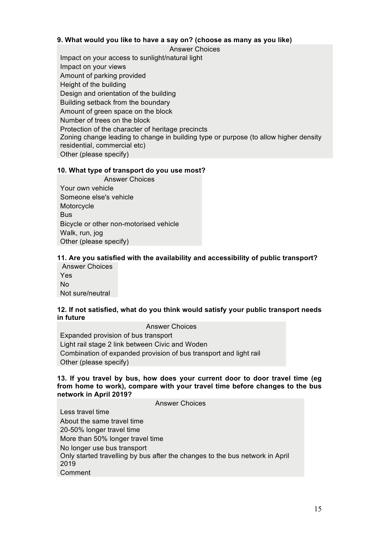# **9. What would you like to have a say on? (choose as many as you like)**

Answer Choices Impact on your access to sunlight/natural light Impact on your views Amount of parking provided Height of the building Design and orientation of the building Building setback from the boundary Amount of green space on the block Number of trees on the block Protection of the character of heritage precincts Zoning change leading to change in building type or purpose (to allow higher density residential, commercial etc) Other (please specify)

# **10. What type of transport do you use most?**

Answer Choices Your own vehicle Someone else's vehicle **Motorcycle Bus** Bicycle or other non-motorised vehicle Walk, run, jog Other (please specify)

# **11. Are you satisfied with the availability and accessibility of public transport?**

Answer Choices Yes No Not sure/neutral

#### **12. If not satisfied, what do you think would satisfy your public transport needs in future**

Answer Choices Expanded provision of bus transport Light rail stage 2 link between Civic and Woden Combination of expanded provision of bus transport and light rail Other (please specify)

#### **13. If you travel by bus, how does your current door to door travel time (eg from home to work), compare with your travel time before changes to the bus network in April 2019?**

Answer Choices

Less travel time About the same travel time 20-50% longer travel time More than 50% longer travel time No longer use bus transport Only started travelling by bus after the changes to the bus network in April 2019 Comment